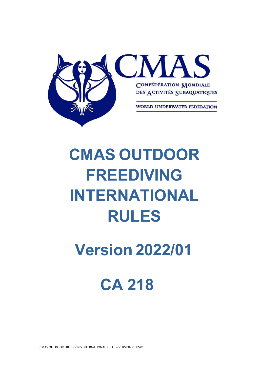

# **CMAS OUTDOOR FREEDIVING INTERNATIONAL RULES**

## **Version 2022/01**

## **CA 218**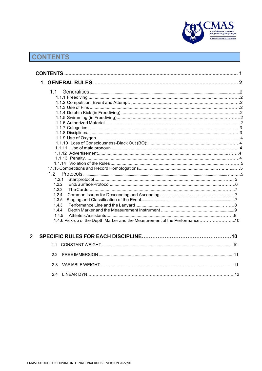

## **CONTENTS**

 $\overline{2}$ 

| 1.1                                                                            |  |
|--------------------------------------------------------------------------------|--|
|                                                                                |  |
|                                                                                |  |
|                                                                                |  |
|                                                                                |  |
|                                                                                |  |
|                                                                                |  |
|                                                                                |  |
|                                                                                |  |
|                                                                                |  |
|                                                                                |  |
|                                                                                |  |
|                                                                                |  |
|                                                                                |  |
|                                                                                |  |
|                                                                                |  |
|                                                                                |  |
| 1.2.1                                                                          |  |
| 1.2.2                                                                          |  |
| 1.2.3                                                                          |  |
| 1.2.4                                                                          |  |
| 1.3.5                                                                          |  |
| 1.4.3                                                                          |  |
| 1.4.4                                                                          |  |
| 1.4.5                                                                          |  |
| 10. 1.4.6 Pick-up of the Depth Marker and the Measurement of the Performance10 |  |
|                                                                                |  |
|                                                                                |  |
|                                                                                |  |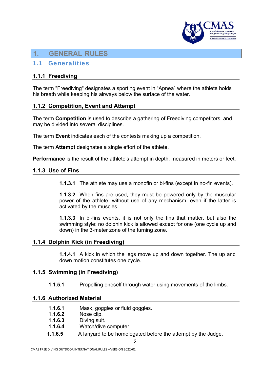

### **1. GENERAL RULES**

#### 1.1 Generalities

#### **1.1.1 Freediving**

The term "Freediving" designates a sporting event in "Apnea" where the athlete holds his breath while keeping his airways below the surface of the water.

#### **1.1.2 Competition, Event and Attempt**

The term **Competition** is used to describe a gathering of Freediving competitors, and may be divided into several disciplines.

The term **Event** indicates each of the contests making up a competition.

The term **Attempt** designates a single effort of the athlete.

**Performance** is the result of the athlete's attempt in depth, measured in meters or feet.

#### **1.1.3 Use of Fins**

**1.1.3.1** The athlete may use a monofin or bi-fins (except in no-fin events).

**1.1.3.2** When fins are used, they must be powered only by the muscular power of the athlete, without use of any mechanism, even if the latter is activated by the muscles.

**1.1.3.3** In bi-fins events, it is not only the fins that matter, but also the swimming style: no dolphin kick is allowed except for one (one cycle up and down) in the 3-meter zone of the turning zone.

#### **1.1.4 Dolphin Kick (in Freediving)**

**1.1.4.1** A kick in which the legs move up and down together. The up and down motion constitutes one cycle.

#### **1.1.5 Swimming (in Freediving)**

**1.1.5.1** Propelling oneself through water using movements of the limbs.

#### **1.1.6 Authorized Material**

- **1.1.6.1** Mask, goggles or fluid goggles.
- **1.1.6.2** Nose clip.
- **1.1.6.3** Diving suit.
- **1.1.6.4** Watch/dive computer
- **1.1.6.5** A lanyard to be homologated before the attempt by the Judge.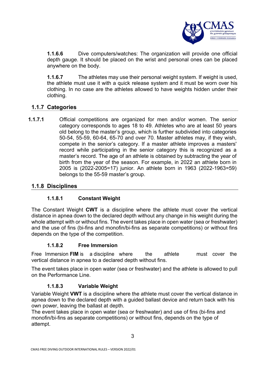

**1.1.6.6** Dive computers/watches: The organization will provide one official depth gauge. It should be placed on the wrist and personal ones can be placed anywhere on the body.

**1.1.6.7** The athletes may use their personal weight system. If weight is used, the athlete must use it with a quick release system and it must be worn over his clothing. In no case are the athletes allowed to have weights hidden under their clothing.

#### **1.1.7 Categories**

**1.1.7.1** Official competitions are organized for men and/or women. The senior category corresponds to ages 18 to 49. Athletes who are at least 50 years old belong to the master's group, which is further subdivided into categories 50-54, 55-59, 60-64, 65-70 and over 70. Master athletes may, if they wish, compete in the senior's category. If a master athlete improves a masters' record while participating in the senior category this is recognized as a master's record. The age of an athlete is obtained by subtracting the year of birth from the year of the season. For example, in 2022 an athlete born in 2005 is (2022-2005=17) junior. An athlete born in 1963 (2022-1963=59) belongs to the 55-59 master's group.

#### **1.1.8 Disciplines**

#### **1.1.8.1 Constant Weight**

The Constant Weight **CWT** is a discipline where the athlete must cover the vertical distance in apnea down to the declared depth without any change in his weight during the whole attempt with or without fins. The event takes place in open water (sea or freshwater) and the use of fins (bi-fins and monofin/bi-fins as separate competitions) or without fins depends on the type of the competition.

#### **1.1.8.2 Free Immersion**

Free Immersion **FIM** is a discipline where the athlete must cover the vertical distance in apnea to a declared depth without fins.

The event takes place in open water (sea or freshwater) and the athlete is allowed to pull on the Performance Line.

#### **1.1.8.3 Variable Weight**

Variable Weight **VWT** is a discipline where the athlete must cover the vertical distance in apnea down to the declared depth with a guided ballast device and return back with his own power, leaving the ballast at depth.

The event takes place in open water (sea or freshwater) and use of fins (bi-fins and monofin/bi-fins as separate competitions) or without fins, depends on the type of attempt.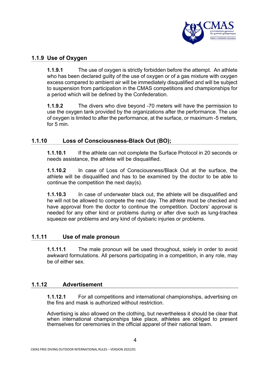

#### **1.1.9 Use of Oxygen**

**1.1.9.1** The use of oxygen is strictly forbidden before the attempt. An athlete who has been declared guilty of the use of oxygen or of a gas mixture with oxygen excess compared to ambient air will be immediately disqualified and will be subject to suspension from participation in the CMAS competitions and championships for a period which will be defined by the Confederation.

**1.1.9.2** The divers who dive beyond -70 meters will have the permission to use the oxygen tank provided by the organizations after the performance. The use of oxygen is limited to after the performance, at the surface, or maximum -5 meters, for 5 min.

#### **1.1.10 Loss of Consciousness-Black Out (BO);**

**1.1.10.1** If the athlete can not complete the Surface Protocol in 20 seconds or needs assistance, the athlete will be disqualified.

**1.1.10.2** In case of Loss of Consciousness/Black Out at the surface, the athlete will be disqualified and has to be examined by the doctor to be able to continue the competition the next day(s).

**1.1.10.3** In case of underwater black out, the athlete will be disqualified and he will not be allowed to compete the next day. The athlete must be checked and have approval from the doctor to continue the competition. Doctors' approval is needed for any other kind or problems during or after dive such as lung-trachea squeeze ear problems and any kind of dysbaric injuries or problems.

#### **1.1.11 Use of male pronoun**

**1.1.11.1** The male pronoun will be used throughout, solely in order to avoid awkward formulations. All persons participating in a competition, in any role, may be of either sex.

#### **1.1.12 Advertisement**

**1.1.12.1** For all competitions and international championships, advertising on the fins and mask is authorized without restriction.

Advertising is also allowed on the clothing, but nevertheless it should be clear that when international championships take place, athletes are obliged to present themselves for ceremonies in the official apparel of their national team.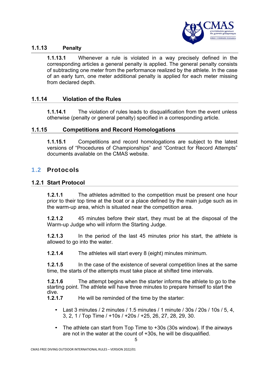

#### **1.1.13 Penalty**

**1.1.13.1** Whenever a rule is violated in a way precisely defined in the corresponding articles a general penalty is applied. The general penalty consists of subtracting one meter from the performance realized by the athlete. In the case of an early turn, one meter additional penalty is applied for each meter missing from declared depth.

#### **1.1.14 Violation of the Rules**

**1.1.14.1** The violation of rules leads to disqualification from the event unless otherwise (penalty or general penalty) specified in a corresponding article.

#### **1.1.15 Competitions and Record Homologations**

**1.1.15.1** Competitions and record homologations are subject to the latest versions of "Procedures of Championships" and "Contract for Record Attempts" documents available on the CMAS website.

#### 1.2 Protocols

#### **1.2.1 Start Protocol**

**1.2.1.1** The athletes admitted to the competition must be present one hour prior to their top time at the boat or a place defined by the main judge such as in the warm-up area, which is situated near the competition area.

**1.2.1.2** 45 minutes before their start, they must be at the disposal of the Warm-up Judge who will inform the Starting Judge.

**1.2.1.3** In the period of the last 45 minutes prior his start, the athlete is allowed to go into the water.

**1.2.1.4** The athletes will start every 8 (eight) minutes minimum.

**1.2.1.5** In the case of the existence of several competition lines at the same time, the starts of the attempts must take place at shifted time intervals.

**1.2.1.6** The attempt begins when the starter informs the athlete to go to the starting point. The athlete will have three minutes to prepare himself to start the dive.

**1.2.1.7** He will be reminded of the time by the starter:

- Last 3 minutes / 2 minutes / 1.5 minutes / 1 minute / 30s / 20s / 10s / 5, 4, 3, 2, 1 / Top Time / +10s / +20s / +25, 26, 27, 28, 29, 30.
- The athlete can start from Top Time to +30s (30s window). If the airways are not in the water at the count of +30s, he will be disqualified.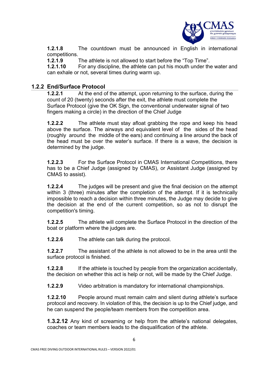

**1.2.1.8** The countdown must be announced in English in international competitions.

**1.2.1.9** The athlete is not allowed to start before the "Top Time".

**1.2.1.10** For any discipline, the athlete can put his mouth under the water and can exhale or not, several times during warm up.

#### **1.2.2 End/Surface Protocol**

**1.2.2.1** At the end of the attempt, upon returning to the surface, during the count of 20 (twenty) seconds after the exit, the athlete must complete the Surface Protocol (give the OK Sign, the conventional underwater signal of two fingers making a circle) in the direction of the Chief Judge

**1.2.2.2** The athlete must stay afloat grabbing the rope and keep his head above the surface. The airways and equivalent level of the sides of the head (roughly around the middle of the ears) and continuing a line around the back of the head must be over the water's surface. If there is a wave, the decision is determined by the judge.

**1.2.2.3** For the Surface Protocol in CMAS International Competitions, there has to be a Chief Judge (assigned by CMAS), or Assistant Judge (assigned by CMAS to assist).

**1.2.2.4** The judges will be present and give the final decision on the attempt within 3 (three) minutes after the completion of the attempt. If it is technically impossible to reach a decision within three minutes, the Judge may decide to give the decision at the end of the current competition, so as not to disrupt the competition's timing.

**1.2.2.5** The athlete will complete the Surface Protocol in the direction of the boat or platform where the judges are.

**1.2.2.6** The athlete can talk during the protocol.

**1.2.2.7** The assistant of the athlete is not allowed to be in the area until the surface protocol is finished.

**1.2.2.8** If the athlete is touched by people from the organization accidentally, the decision on whether this act is help or not, will be made by the Chief Judge.

**1.2.2.9** Video arbitration is mandatory for international championships.

**1.2.2.10** People around must remain calm and silent during athlete's surface protocol and recovery. In violation of this, the decision is up to the Chief judge, and he can suspend the people/team members from the competition area.

**1.3.2.12** Any kind of screaming or help from the athlete's national delegates, coaches or team members leads to the disqualification of the athlete.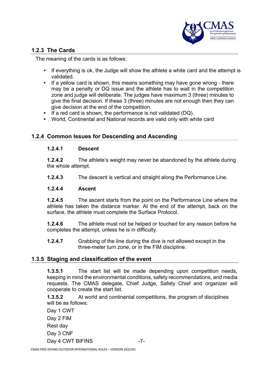

#### **1.2.3 The Cards**

The meaning of the cards is as follows:

- If everything is ok, the Judge will show the athlete a white card and the attempt is validated.
- If a yellow card is shown, this means something may have gone wrong there may be a penalty or DQ issue and the athlete has to wait in the competition zone and judge will deliberate. The judges have maximum 3 (three) minutes to give the final decision. If these 3 (three) minutes are not enough then they can give decision at the end of the competition.
- If a red card is shown, the performance is not validated (DQ).
- World, Continental and National records are valid only with white card

#### **1.2.4 Common Issues for Descending and Ascending**

#### **1.2.4.1 Descent**

**1.2.4.2** The athlete's weight may never be abandoned by the athlete during the whole attempt.

**1.2.4.3** The descent is vertical and straight along the Performance Line.

#### **1.2.4.4 Ascent**

**1.2.4.5** The ascent starts from the point on the Performance Line where the athlete has taken the distance marker. At the end of the attempt, back on the surface, the athlete must complete the Surface Protocol.

**1.2.4.6** The athlete must not be helped or touched for any reason before he completes the attempt, unless he is in difficulty.

**1.2.4.7** Grabbing of the line during the dive is not allowed except in the three-meter turn zone, or in the FIM discipline.

#### **1.3.5 Staging and classification of the event**

**1.3.5.1** The start list will be made depending upon competition needs, keeping in mind the environmental conditions, safety recommendations, and media requests. The CMAS delegate, Chief Judge, Safety Chief and organizer will cooperate to create the start list.

**1.3.5.2** At world and continental competitions, the program of disciplines will be as follows:

Day 1 CWT Day 2 FIM Rest day Day 3 CNF Day 4 CWT BIFINS -7-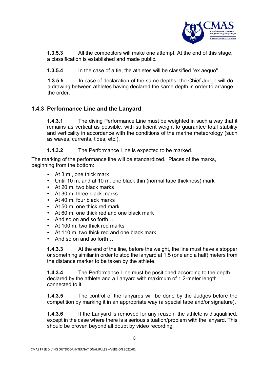

**1.3.5.3** All the competitors will make one attempt. At the end of this stage, a classification is established and made public.

**1.3.5.4** In the case of a tie, the athletes will be classified "ex aequo"

**1.3.5.5** In case of declaration of the same depths, the Chief Judge will do a drawing between athletes having declared the same depth in order to arrange the order.

#### **1.4.3 Performance Line and the Lanyard**

**1.4.3.1** The diving Performance Line must be weighted in such a way that it remains as vertical as possible, with sufficient weight to guarantee total stability and verticality in accordance with the conditions of the marine meteorology (such as waves, currents, tides, etc.).

**1.4.3.2** The Performance Line is expected to be marked.

The marking of the performance line will be standardized. Places of the marks, beginning from the bottom:

- At 3 m., one thick mark
- Until 10 m. and at 10 m. one black thin (normal tape thickness) mark
- At 20 m. two black marks
- At 30 m. three black marks
- At 40 m. four black marks
- At 50 m. one thick red mark
- At 60 m, one thick red and one black mark
- And so on and so forth
- At 100 m. two thick red marks
- At 110 m. two thick red and one black mark
- And so on and so forth...

**1.4.3.3** At the end of the line, before the weight, the line must have a stopper or something similar in order to stop the lanyard at 1.5 (one and a half) meters from the distance marker to be taken by the athlete.

**1.4.3.4** The Performance Line must be positioned according to the depth declared by the athlete and a Lanyard with maximum of 1.2-meter length connected to it.

**1.4.3.5** The control of the lanyards will be done by the Judges before the competition by marking it in an appropriate way (a special tape and/or signature).

**1.4.3.6** If the Lanyard is removed for any reason, the athlete is disqualified, except in the case where there is a serious situation/problem with the lanyard. This should be proven beyond all doubt by video recording.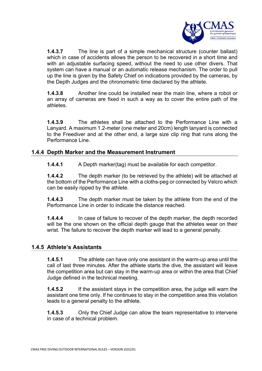

**1.4.3.7** The line is part of a simple mechanical structure (counter ballast) which in case of accidents allows the person to be recovered in a short time and with an adjustable surfacing speed, without the need to use other divers. That system can have a manual or an automatic release mechanism. The order to pull up the line is given by the Safety Chief on indications provided by the cameras, by the Depth Judges and the chronometric time declared by the athlete.

**1.4.3.8** Another line could be installed near the main line, where a robot or an array of cameras are fixed in such a way as to cover the entire path of the athletes.

**1.4.3.9** The athletes shall be attached to the Performance Line with a Lanyard. A maximum 1.2-meter (one meter and 20cm) length lanyard is connected to the Freediver and at the other end, a large size clip ring that runs along the Performance Line.

#### **1.4.4 Depth Marker and the Measurement Instrument**

**1.4.4.1** A Depth marker(tag) must be available for each competitor.

**1.4.4.2** The depth marker (to be retrieved by the athlete) will be attached at the bottom of the Performance Line with a cloths-peg or connected by Velcro which can be easily ripped by the athlete.

**1.4.4.3** The depth marker must be taken by the athlete from the end of the Performance Line in order to indicate the distance reached.

**1.4.4.4** In case of failure to recover of the depth marker, the depth recorded will be the one shown on the official depth gauge that the athletes wear on their wrist. The failure to recover the depth marker will lead to a general penalty.

#### **1.4.5 Athlete's Assistants**

**1.4.5.1** The athlete can have only one assistant in the warm-up area until the call of last three minutes. After the athlete starts the dive, the assistant will leave the competition area but can stay in the warm-up area or within the area that Chief Judge defined in the technical meeting.

**1.4.5.2** If the assistant stays in the competition area, the judge will warn the assistant one time only. If he continues to stay in the competition area this violation leads to a general penalty to the athlete.

**1.4.5.3** Only the Chief Judge can allow the team representative to intervene in case of a technical problem.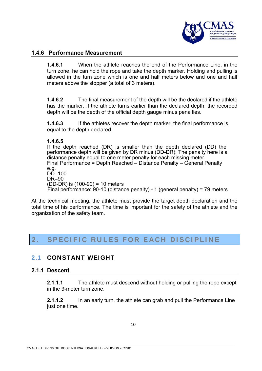

#### **1.4.6 Performance Measurement**

**1.4.6.1** When the athlete reaches the end of the Performance Line, in the turn zone, he can hold the rope and take the depth marker. Holding and pulling is allowed in the turn zone which is one and half meters below and one and half meters above the stopper (a total of 3 meters).

**1.4.6.2** The final measurement of the depth will be the declared if the athlete has the marker. If the athlete turns earlier than the declared depth, the recorded depth will be the depth of the official depth gauge minus penalties.

**1.4.6.3** If the athletes recover the depth marker, the final performance is equal to the depth declared.

#### **1.4.6.5**

If the depth reached (DR) is smaller than the depth declared (DD) the performance depth will be given by DR minus (DD-DR). The penalty here is a distance penalty equal to one meter penalty for each missing meter. Final Performance = Depth Reached – Distance Penalty – General Penalty e.g.  $D\bar{D}=100$ DR=90 (DD-DR) is (100-90) = 10 meters Final performance: 90-10 (distance penalty) - 1 (general penalty) = 79 meters

At the technical meeting, the athlete must provide the target depth declaration and the total time of his performance. The time is important for the safety of the athlete and the organization of the safety team.

### 2. SPECIFIC RULES FOR EACH DISCIPLINE

#### 2.1 CONSTANT WEIGHT

#### **2.1.1 Descent**

**2.1.1.1** The athlete must descend without holding or pulling the rope except in the 3-meter turn zone.

**2.1.1.2** In an early turn, the athlete can grab and pull the Performance Line just one time.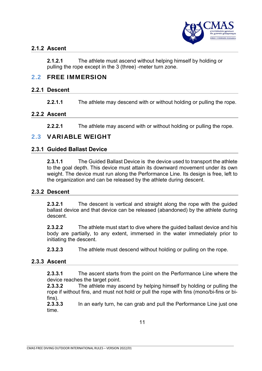

#### **2.1.2 Ascent**

**2.1.2.1** The athlete must ascend without helping himself by holding or pulling the rope except in the 3 (three) -meter turn zone.

#### 2.2 FREE IMMERSION

#### **2.2.1 Descent**

**2.2.1.1** The athlete may descend with or without holding or pulling the rope.

#### **2.2.2 Ascent**

**2.2.2.1** The athlete may ascend with or without holding or pulling the rope.

#### 2.3 VARIABLE WEIGHT

#### **2.3.1 Guided Ballast Device**

**2.3.1.1** The Guided Ballast Device is the device used to transport the athlete to the goal depth. This device must attain its downward movement under its own weight. The device must run along the Performance Line. Its design is free, left to the organization and can be released by the athlete during descent.

#### **2.3.2 Descent**

**2.3.2.1** The descent is vertical and straight along the rope with the guided ballast device and that device can be released (abandoned) by the athlete during descent.

**2.3.2.2** The athlete must start to dive where the guided ballast device and his body are partially, to any extent, immersed in the water immediately prior to initiating the descent.

**2.3.2.3** The athlete must descend without holding or pulling on the rope.

#### **2.3.3 Ascent**

**2.3.3.1** The ascent starts from the point on the Performance Line where the device reaches the target point.

**2.3.3.2** The athlete may ascend by helping himself by holding or pulling the rope if without fins, and must not hold or pull the rope with fins (mono/bi-fins or bifins).

**2.3.3.3** In an early turn, he can grab and pull the Performance Line just one time.